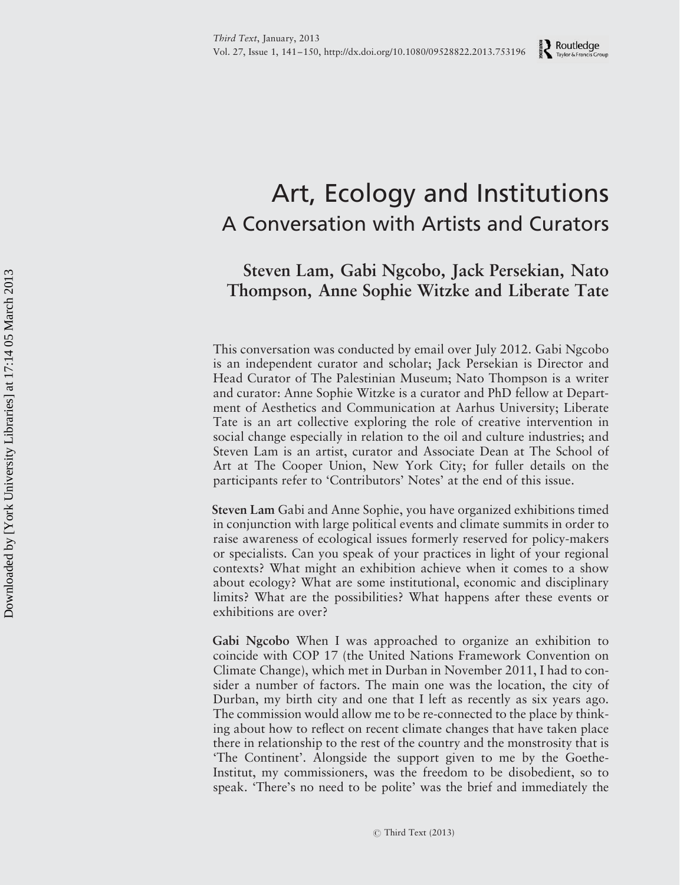## Art, Ecology and Institutions A Conversation with Artists and Curators

## Steven Lam, Gabi Ngcobo, Jack Persekian, Nato Thompson, Anne Sophie Witzke and Liberate Tate

This conversation was conducted by email over July 2012. Gabi Ngcobo is an independent curator and scholar; Jack Persekian is Director and Head Curator of The Palestinian Museum; Nato Thompson is a writer and curator: Anne Sophie Witzke is a curator and PhD fellow at Department of Aesthetics and Communication at Aarhus University; Liberate Tate is an art collective exploring the role of creative intervention in social change especially in relation to the oil and culture industries; and Steven Lam is an artist, curator and Associate Dean at The School of Art at The Cooper Union, New York City; for fuller details on the participants refer to 'Contributors' Notes' at the end of this issue.

Steven Lam Gabi and Anne Sophie, you have organized exhibitions timed in conjunction with large political events and climate summits in order to raise awareness of ecological issues formerly reserved for policy-makers or specialists. Can you speak of your practices in light of your regional contexts? What might an exhibition achieve when it comes to a show about ecology? What are some institutional, economic and disciplinary limits? What are the possibilities? What happens after these events or exhibitions are over?

Gabi Ngcobo When I was approached to organize an exhibition to coincide with COP 17 (the United Nations Framework Convention on Climate Change), which met in Durban in November 2011, I had to consider a number of factors. The main one was the location, the city of Durban, my birth city and one that I left as recently as six years ago. The commission would allow me to be re-connected to the place by thinking about how to reflect on recent climate changes that have taken place there in relationship to the rest of the country and the monstrosity that is 'The Continent'. Alongside the support given to me by the Goethe-Institut, my commissioners, was the freedom to be disobedient, so to speak. 'There's no need to be polite' was the brief and immediately the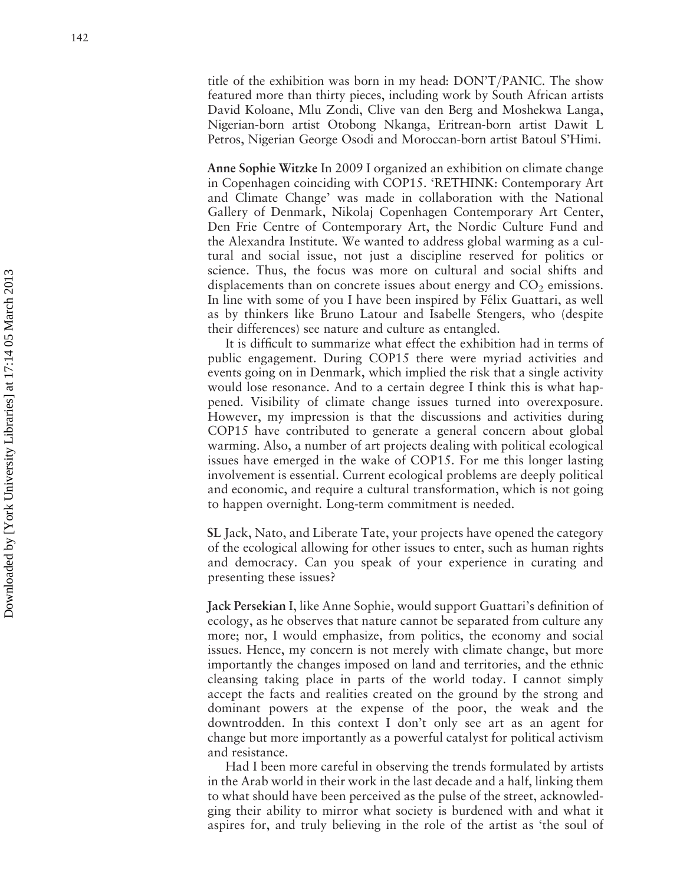title of the exhibition was born in my head: DON'T/PANIC. The show featured more than thirty pieces, including work by South African artists David Koloane, Mlu Zondi, Clive van den Berg and Moshekwa Langa, Nigerian-born artist Otobong Nkanga, Eritrean-born artist Dawit L Petros, Nigerian George Osodi and Moroccan-born artist Batoul S'Himi.

Anne Sophie Witzke In 2009 I organized an exhibition on climate change in Copenhagen coinciding with COP15. 'RETHINK: Contemporary Art and Climate Change' was made in collaboration with the National Gallery of Denmark, Nikolaj Copenhagen Contemporary Art Center, Den Frie Centre of Contemporary Art, the Nordic Culture Fund and the Alexandra Institute. We wanted to address global warming as a cultural and social issue, not just a discipline reserved for politics or science. Thus, the focus was more on cultural and social shifts and displacements than on concrete issues about energy and  $CO<sub>2</sub>$  emissions. In line with some of you I have been inspired by Félix Guattari, as well as by thinkers like Bruno Latour and Isabelle Stengers, who (despite their differences) see nature and culture as entangled.

It is difficult to summarize what effect the exhibition had in terms of public engagement. During COP15 there were myriad activities and events going on in Denmark, which implied the risk that a single activity would lose resonance. And to a certain degree I think this is what happened. Visibility of climate change issues turned into overexposure. However, my impression is that the discussions and activities during COP15 have contributed to generate a general concern about global warming. Also, a number of art projects dealing with political ecological issues have emerged in the wake of COP15. For me this longer lasting involvement is essential. Current ecological problems are deeply political and economic, and require a cultural transformation, which is not going to happen overnight. Long-term commitment is needed.

SL Jack, Nato, and Liberate Tate, your projects have opened the category of the ecological allowing for other issues to enter, such as human rights and democracy. Can you speak of your experience in curating and presenting these issues?

Jack Persekian I, like Anne Sophie, would support Guattari's definition of ecology, as he observes that nature cannot be separated from culture any more; nor, I would emphasize, from politics, the economy and social issues. Hence, my concern is not merely with climate change, but more importantly the changes imposed on land and territories, and the ethnic cleansing taking place in parts of the world today. I cannot simply accept the facts and realities created on the ground by the strong and dominant powers at the expense of the poor, the weak and the downtrodden. In this context I don't only see art as an agent for change but more importantly as a powerful catalyst for political activism and resistance.

Had I been more careful in observing the trends formulated by artists in the Arab world in their work in the last decade and a half, linking them to what should have been perceived as the pulse of the street, acknowledging their ability to mirror what society is burdened with and what it aspires for, and truly believing in the role of the artist as 'the soul of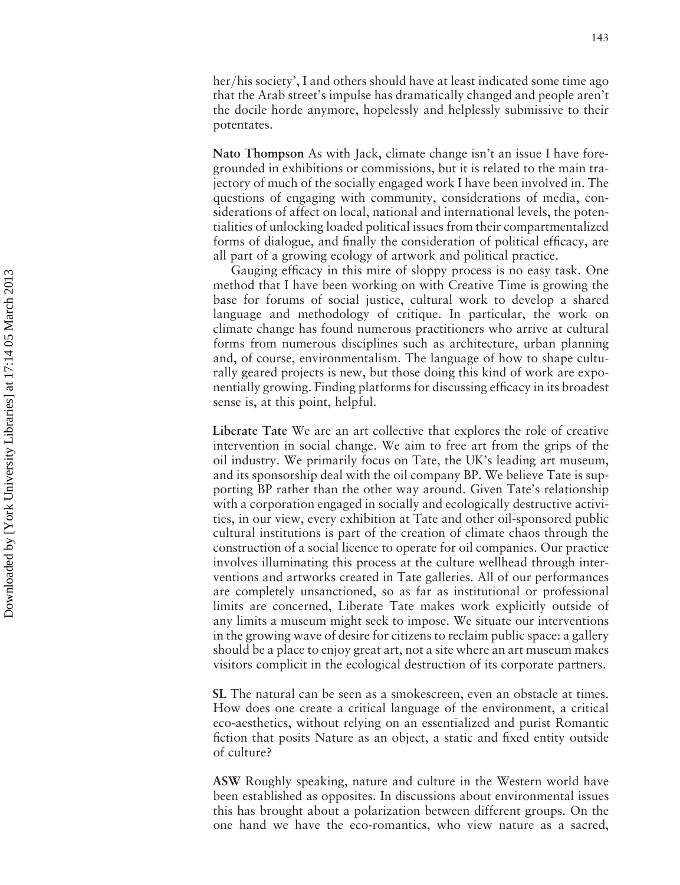her/his society', I and others should have at least indicated some time ago that the Arab street's impulse has dramatically changed and people aren't the docile horde anymore, hopelessly and helplessly submissive to their potentates.

Nato Thompson As with Jack, climate change isn't an issue I have foregrounded in exhibitions or commissions, but it is related to the main trajectory of much of the socially engaged work I have been involved in. The questions of engaging with community, considerations of media, considerations of affect on local, national and international levels, the potentialities of unlocking loaded political issues from their compartmentalized forms of dialogue, and finally the consideration of political efficacy, are all part of a growing ecology of artwork and political practice.

Gauging efficacy in this mire of sloppy process is no easy task. One method that I have been working on with Creative Time is growing the base for forums of social justice, cultural work to develop a shared language and methodology of critique. In particular, the work on climate change has found numerous practitioners who arrive at cultural forms from numerous disciplines such as architecture, urban planning and, of course, environmentalism. The language of how to shape culturally geared projects is new, but those doing this kind of work are exponentially growing. Finding platforms for discussing efficacy in its broadest sense is, at this point, helpful.

Liberate Tate We are an art collective that explores the role of creative intervention in social change. We aim to free art from the grips of the oil industry. We primarily focus on Tate, the UK's leading art museum, and its sponsorship deal with the oil company BP. We believe Tate is supporting BP rather than the other way around. Given Tate's relationship with a corporation engaged in socially and ecologically destructive activities, in our view, every exhibition at Tate and other oil-sponsored public cultural institutions is part of the creation of climate chaos through the construction of a social licence to operate for oil companies. Our practice involves illuminating this process at the culture wellhead through interventions and artworks created in Tate galleries. All of our performances are completely unsanctioned, so as far as institutional or professional limits are concerned, Liberate Tate makes work explicitly outside of any limits a museum might seek to impose. We situate our interventions in the growing wave of desire for citizens to reclaim public space: a gallery should be a place to enjoy great art, not a site where an art museum makes visitors complicit in the ecological destruction of its corporate partners.

SL The natural can be seen as a smokescreen, even an obstacle at times. How does one create a critical language of the environment, a critical eco-aesthetics, without relying on an essentialized and purist Romantic fiction that posits Nature as an object, a static and fixed entity outside of culture?

ASW Roughly speaking, nature and culture in the Western world have been established as opposites. In discussions about environmental issues this has brought about a polarization between different groups. On the one hand we have the eco-romantics, who view nature as a sacred,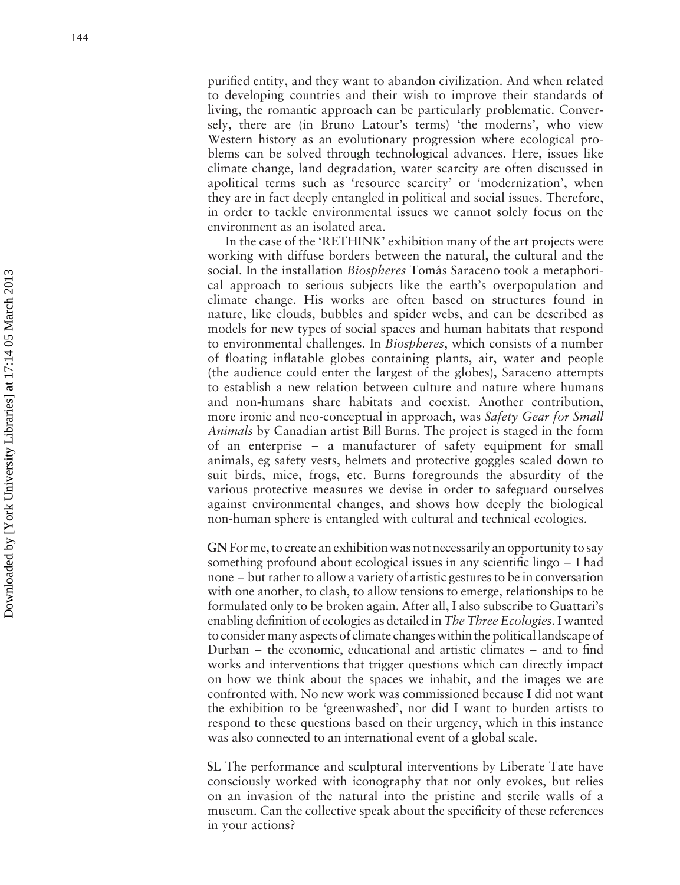purified entity, and they want to abandon civilization. And when related to developing countries and their wish to improve their standards of living, the romantic approach can be particularly problematic. Conversely, there are (in Bruno Latour's terms) 'the moderns', who view Western history as an evolutionary progression where ecological problems can be solved through technological advances. Here, issues like climate change, land degradation, water scarcity are often discussed in apolitical terms such as 'resource scarcity' or 'modernization', when they are in fact deeply entangled in political and social issues. Therefore, in order to tackle environmental issues we cannot solely focus on the environment as an isolated area.

In the case of the 'RETHINK' exhibition many of the art projects were working with diffuse borders between the natural, the cultural and the social. In the installation *Biospheres* Tomás Saraceno took a metaphorical approach to serious subjects like the earth's overpopulation and climate change. His works are often based on structures found in nature, like clouds, bubbles and spider webs, and can be described as models for new types of social spaces and human habitats that respond to environmental challenges. In Biospheres, which consists of a number of floating inflatable globes containing plants, air, water and people (the audience could enter the largest of the globes), Saraceno attempts to establish a new relation between culture and nature where humans and non-humans share habitats and coexist. Another contribution, more ironic and neo-conceptual in approach, was Safety Gear for Small Animals by Canadian artist Bill Burns. The project is staged in the form of an enterprise – a manufacturer of safety equipment for small animals, eg safety vests, helmets and protective goggles scaled down to suit birds, mice, frogs, etc. Burns foregrounds the absurdity of the various protective measures we devise in order to safeguard ourselves against environmental changes, and shows how deeply the biological non-human sphere is entangled with cultural and technical ecologies.

GN For me, to create an exhibition was not necessarily an opportunity to say something profound about ecological issues in any scientific lingo – I had none – but rather to allow a variety of artistic gestures to be in conversation with one another, to clash, to allow tensions to emerge, relationships to be formulated only to be broken again. After all, I also subscribe to Guattari's enabling definition of ecologies as detailed in The Three Ecologies. I wanted to consider many aspects of climatechanges within the political landscape of Durban – the economic, educational and artistic climates – and to find works and interventions that trigger questions which can directly impact on how we think about the spaces we inhabit, and the images we are confronted with. No new work was commissioned because I did not want the exhibition to be 'greenwashed', nor did I want to burden artists to respond to these questions based on their urgency, which in this instance was also connected to an international event of a global scale.

SL The performance and sculptural interventions by Liberate Tate have consciously worked with iconography that not only evokes, but relies on an invasion of the natural into the pristine and sterile walls of a museum. Can the collective speak about the specificity of these references in your actions?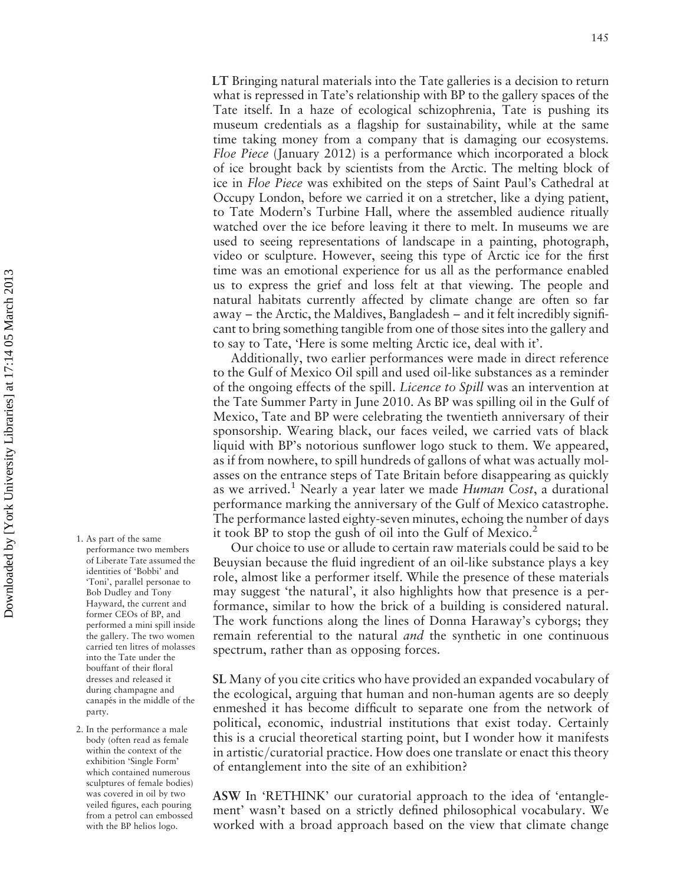LT Bringing natural materials into the Tate galleries is a decision to return what is repressed in Tate's relationship with BP to the gallery spaces of the Tate itself. In a haze of ecological schizophrenia, Tate is pushing its museum credentials as a flagship for sustainability, while at the same time taking money from a company that is damaging our ecosystems. Floe Piece (January 2012) is a performance which incorporated a block of ice brought back by scientists from the Arctic. The melting block of ice in Floe Piece was exhibited on the steps of Saint Paul's Cathedral at Occupy London, before we carried it on a stretcher, like a dying patient, to Tate Modern's Turbine Hall, where the assembled audience ritually watched over the ice before leaving it there to melt. In museums we are used to seeing representations of landscape in a painting, photograph, video or sculpture. However, seeing this type of Arctic ice for the first time was an emotional experience for us all as the performance enabled us to express the grief and loss felt at that viewing. The people and natural habitats currently affected by climate change are often so far away – the Arctic, the Maldives, Bangladesh – and it felt incredibly significant to bring something tangible from one of those sites into the gallery and to say to Tate, 'Here is some melting Arctic ice, deal with it'.

Additionally, two earlier performances were made in direct reference to the Gulf of Mexico Oil spill and used oil-like substances as a reminder of the ongoing effects of the spill. Licence to Spill was an intervention at the Tate Summer Party in June 2010. As BP was spilling oil in the Gulf of Mexico, Tate and BP were celebrating the twentieth anniversary of their sponsorship. Wearing black, our faces veiled, we carried vats of black liquid with BP's notorious sunflower logo stuck to them. We appeared, as if from nowhere, to spill hundreds of gallons of what was actually molasses on the entrance steps of Tate Britain before disappearing as quickly as we arrived.<sup>1</sup> Nearly a year later we made *Human Cost*, a durational performance marking the anniversary of the Gulf of Mexico catastrophe. The performance lasted eighty-seven minutes, echoing the number of days it took BP to stop the gush of oil into the Gulf of Mexico. $<sup>2</sup>$ </sup>

Our choice to use or allude to certain raw materials could be said to be Beuysian because the fluid ingredient of an oil-like substance plays a key role, almost like a performer itself. While the presence of these materials may suggest 'the natural', it also highlights how that presence is a performance, similar to how the brick of a building is considered natural. The work functions along the lines of Donna Haraway's cyborgs; they remain referential to the natural and the synthetic in one continuous spectrum, rather than as opposing forces.

SL Many of you cite critics who have provided an expanded vocabulary of the ecological, arguing that human and non-human agents are so deeply enmeshed it has become difficult to separate one from the network of political, economic, industrial institutions that exist today. Certainly this is a crucial theoretical starting point, but I wonder how it manifests in artistic/curatorial practice. How does one translate or enact this theory of entanglement into the site of an exhibition?

ASW In 'RETHINK' our curatorial approach to the idea of 'entanglement' wasn't based on a strictly defined philosophical vocabulary. We worked with a broad approach based on the view that climate change

- 1. As part of the same performance two members of Liberate Tate assumed the identities of 'Bobbi' and 'Toni', parallel personae to Bob Dudley and Tony Hayward, the current and former CEOs of BP, and performed a mini spill inside the gallery. The two women carried ten litres of molasses into the Tate under the bouffant of their floral dresses and released it during champagne and canapés in the middle of the party.
- 2. In the performance a male body (often read as female within the context of the exhibition 'Single Form' which contained numerous sculptures of female bodies) was covered in oil by two veiled figures, each pouring from a petrol can embossed with the BP helios logo.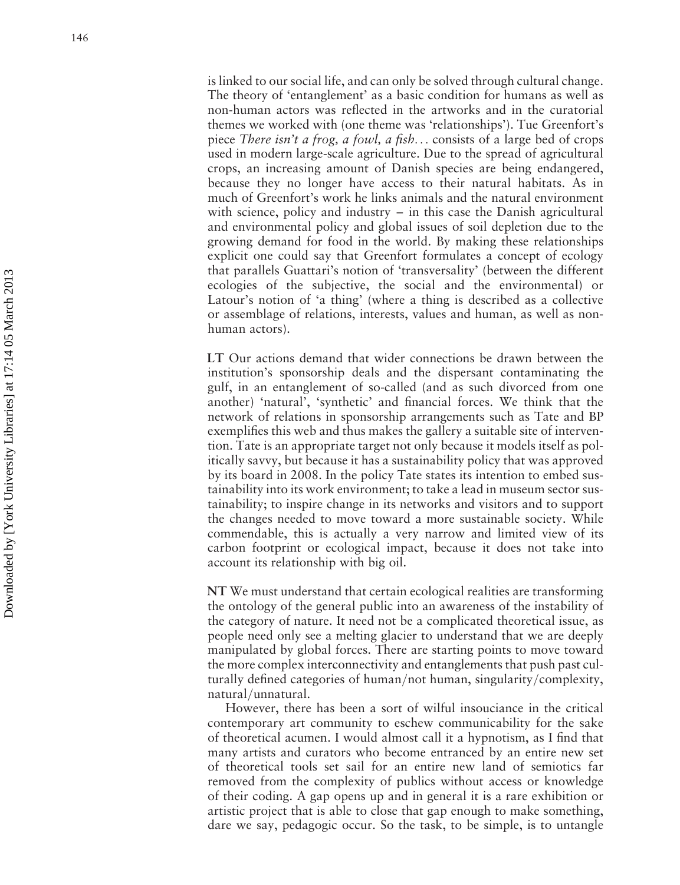is linked to our social life, and can only be solved through cultural change. The theory of 'entanglement' as a basic condition for humans as well as non-human actors was reflected in the artworks and in the curatorial themes we worked with (one theme was 'relationships'). Tue Greenfort's piece There isn't a frog, a fowl, a fish... consists of a large bed of crops used in modern large-scale agriculture. Due to the spread of agricultural crops, an increasing amount of Danish species are being endangered, because they no longer have access to their natural habitats. As in much of Greenfort's work he links animals and the natural environment with science, policy and industry – in this case the Danish agricultural and environmental policy and global issues of soil depletion due to the growing demand for food in the world. By making these relationships explicit one could say that Greenfort formulates a concept of ecology that parallels Guattari's notion of 'transversality' (between the different ecologies of the subjective, the social and the environmental) or Latour's notion of 'a thing' (where a thing is described as a collective or assemblage of relations, interests, values and human, as well as nonhuman actors).

LT Our actions demand that wider connections be drawn between the institution's sponsorship deals and the dispersant contaminating the gulf, in an entanglement of so-called (and as such divorced from one another) 'natural', 'synthetic' and financial forces. We think that the network of relations in sponsorship arrangements such as Tate and BP exemplifies this web and thus makes the gallery a suitable site of intervention. Tate is an appropriate target not only because it models itself as politically savvy, but because it has a sustainability policy that was approved by its board in 2008. In the policy Tate states its intention to embed sustainability into its work environment; to take a lead in museum sector sustainability; to inspire change in its networks and visitors and to support the changes needed to move toward a more sustainable society. While commendable, this is actually a very narrow and limited view of its carbon footprint or ecological impact, because it does not take into account its relationship with big oil.

NT We must understand that certain ecological realities are transforming the ontology of the general public into an awareness of the instability of the category of nature. It need not be a complicated theoretical issue, as people need only see a melting glacier to understand that we are deeply manipulated by global forces. There are starting points to move toward the more complex interconnectivity and entanglements that push past culturally defined categories of human/not human, singularity/complexity, natural/unnatural.

However, there has been a sort of wilful insouciance in the critical contemporary art community to eschew communicability for the sake of theoretical acumen. I would almost call it a hypnotism, as I find that many artists and curators who become entranced by an entire new set of theoretical tools set sail for an entire new land of semiotics far removed from the complexity of publics without access or knowledge of their coding. A gap opens up and in general it is a rare exhibition or artistic project that is able to close that gap enough to make something, dare we say, pedagogic occur. So the task, to be simple, is to untangle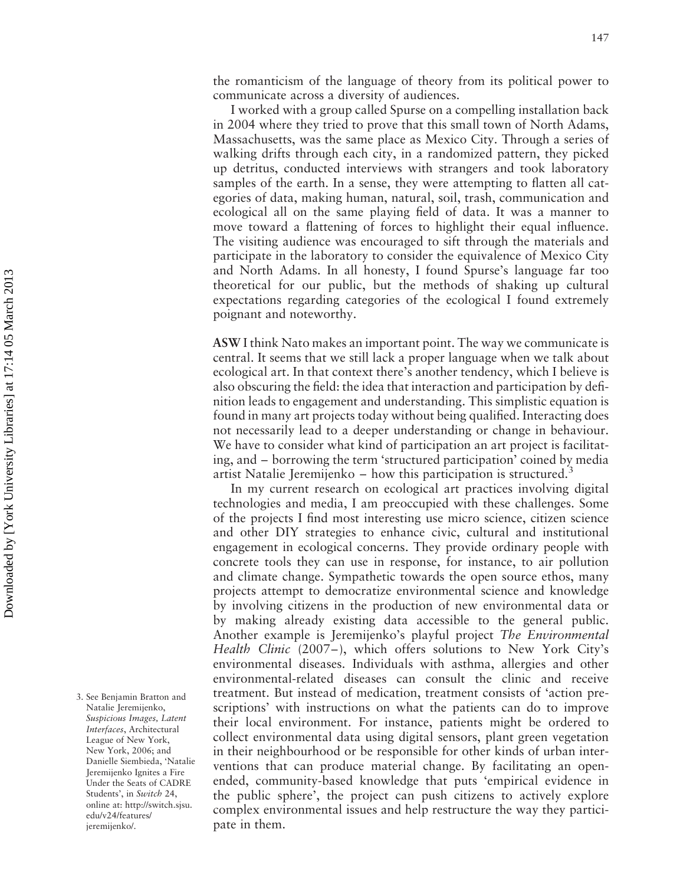I worked with a group called Spurse on a compelling installation back in 2004 where they tried to prove that this small town of North Adams, Massachusetts, was the same place as Mexico City. Through a series of walking drifts through each city, in a randomized pattern, they picked up detritus, conducted interviews with strangers and took laboratory samples of the earth. In a sense, they were attempting to flatten all categories of data, making human, natural, soil, trash, communication and ecological all on the same playing field of data. It was a manner to move toward a flattening of forces to highlight their equal influence. The visiting audience was encouraged to sift through the materials and participate in the laboratory to consider the equivalence of Mexico City and North Adams. In all honesty, I found Spurse's language far too theoretical for our public, but the methods of shaking up cultural expectations regarding categories of the ecological I found extremely poignant and noteworthy.

ASW I think Nato makes an important point. The way we communicate is central. It seems that we still lack a proper language when we talk about ecological art. In that context there's another tendency, which I believe is also obscuring the field: the idea that interaction and participation by definition leads to engagement and understanding. This simplistic equation is found in many art projects today without being qualified. Interacting does not necessarily lead to a deeper understanding or change in behaviour. We have to consider what kind of participation an art project is facilitating, and – borrowing the term 'structured participation' coined by media artist Natalie Jeremijenko – how this participation is structured.<sup>3</sup>

In my current research on ecological art practices involving digital technologies and media, I am preoccupied with these challenges. Some of the projects I find most interesting use micro science, citizen science and other DIY strategies to enhance civic, cultural and institutional engagement in ecological concerns. They provide ordinary people with concrete tools they can use in response, for instance, to air pollution and climate change. Sympathetic towards the open source ethos, many projects attempt to democratize environmental science and knowledge by involving citizens in the production of new environmental data or by making already existing data accessible to the general public. Another example is Jeremijenko's playful project The Environmental Health Clinic (2007–), which offers solutions to New York City's environmental diseases. Individuals with asthma, allergies and other environmental-related diseases can consult the clinic and receive treatment. But instead of medication, treatment consists of 'action prescriptions' with instructions on what the patients can do to improve their local environment. For instance, patients might be ordered to collect environmental data using digital sensors, plant green vegetation in their neighbourhood or be responsible for other kinds of urban interventions that can produce material change. By facilitating an openended, community-based knowledge that puts 'empirical evidence in the public sphere', the project can push citizens to actively explore complex environmental issues and help restructure the way they participate in them.

<sup>3.</sup> See Benjamin Bratton and Natalie Jeremijenko, Suspicious Images, Latent Interfaces, Architectural League of New York, New York, 2006; and Danielle Siembieda, 'Natalie Jeremijenko Ignites a Fire Under the Seats of CADRE Students', in Switch 24, online at: [http://switch.sjsu.](http://switch.sjsu.edu/v24/features/jeremijenko/) [edu/v24/features/](http://switch.sjsu.edu/v24/features/jeremijenko/) [jeremijenko/](http://switch.sjsu.edu/v24/features/jeremijenko/).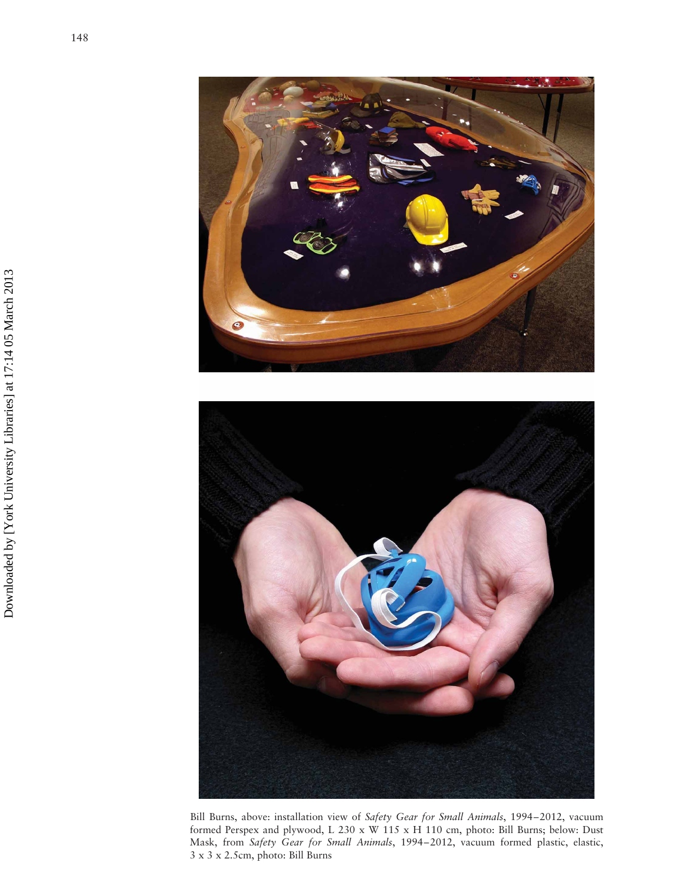



Bill Burns, above: installation view of Safety Gear for Small Animals, 1994–2012, vacuum formed Perspex and plywood, L 230 x W 115 x H 110 cm, photo: Bill Burns; below: Dust Mask, from Safety Gear for Small Animals, 1994–2012, vacuum formed plastic, elastic, 3x3x 2.5cm, photo: Bill Burns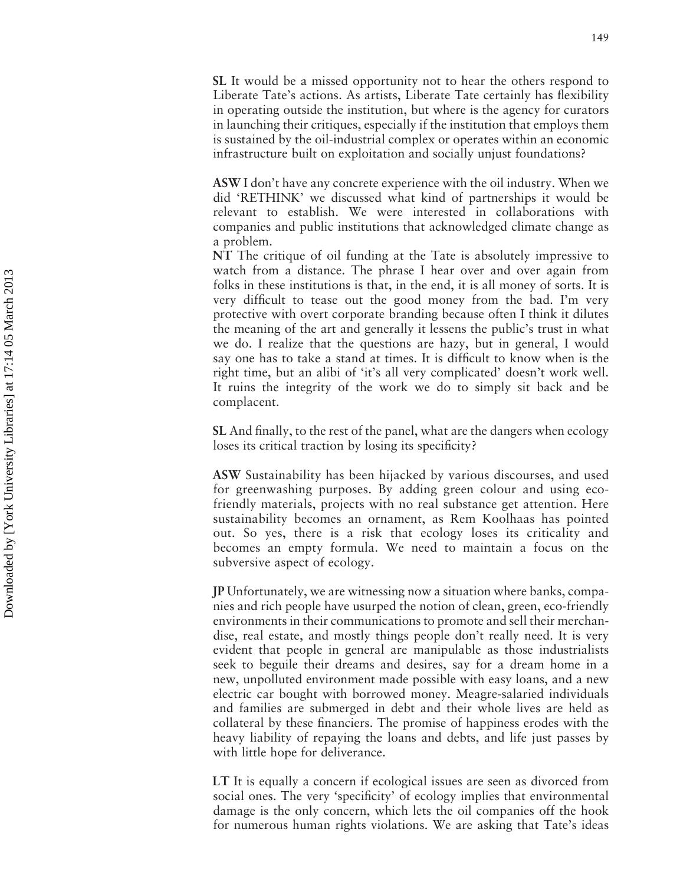SL It would be a missed opportunity not to hear the others respond to Liberate Tate's actions. As artists, Liberate Tate certainly has flexibility in operating outside the institution, but where is the agency for curators in launching their critiques, especially if the institution that employs them is sustained by the oil-industrial complex or operates within an economic infrastructure built on exploitation and socially unjust foundations?

ASW I don't have any concrete experience with the oil industry. When we did 'RETHINK' we discussed what kind of partnerships it would be relevant to establish. We were interested in collaborations with companies and public institutions that acknowledged climate change as a problem.

NT The critique of oil funding at the Tate is absolutely impressive to watch from a distance. The phrase I hear over and over again from folks in these institutions is that, in the end, it is all money of sorts. It is very difficult to tease out the good money from the bad. I'm very protective with overt corporate branding because often I think it dilutes the meaning of the art and generally it lessens the public's trust in what we do. I realize that the questions are hazy, but in general, I would say one has to take a stand at times. It is difficult to know when is the right time, but an alibi of 'it's all very complicated' doesn't work well. It ruins the integrity of the work we do to simply sit back and be complacent.

SL And finally, to the rest of the panel, what are the dangers when ecology loses its critical traction by losing its specificity?

ASW Sustainability has been hijacked by various discourses, and used for greenwashing purposes. By adding green colour and using ecofriendly materials, projects with no real substance get attention. Here sustainability becomes an ornament, as Rem Koolhaas has pointed out. So yes, there is a risk that ecology loses its criticality and becomes an empty formula. We need to maintain a focus on the subversive aspect of ecology.

JP Unfortunately, we are witnessing now a situation where banks, companies and rich people have usurped the notion of clean, green, eco-friendly environments in their communications to promote and sell their merchandise, real estate, and mostly things people don't really need. It is very evident that people in general are manipulable as those industrialists seek to beguile their dreams and desires, say for a dream home in a new, unpolluted environment made possible with easy loans, and a new electric car bought with borrowed money. Meagre-salaried individuals and families are submerged in debt and their whole lives are held as collateral by these financiers. The promise of happiness erodes with the heavy liability of repaying the loans and debts, and life just passes by with little hope for deliverance.

LT It is equally a concern if ecological issues are seen as divorced from social ones. The very 'specificity' of ecology implies that environmental damage is the only concern, which lets the oil companies off the hook for numerous human rights violations. We are asking that Tate's ideas